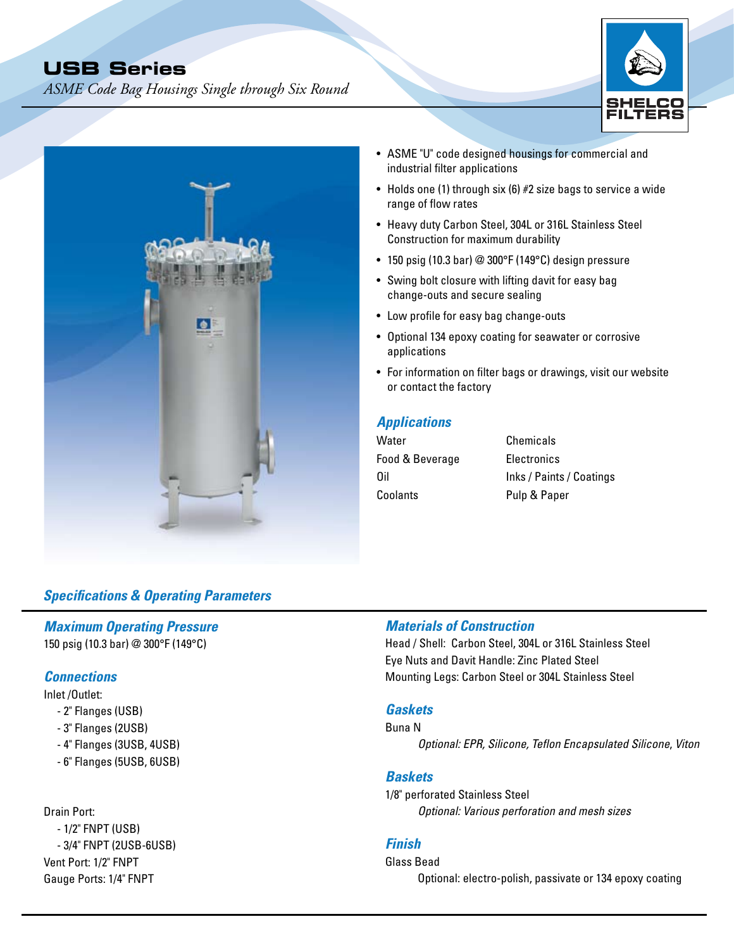# **USB Series**

*ASME Code Bag Housings Single through Six Round*





- ASME "U" code designed housings for commercial and industrial filter applications
- Holds one (1) through six (6) #2 size bags to service a wide range of flow rates
- Heavy duty Carbon Steel, 304L or 316L Stainless Steel Construction for maximum durability
- 150 psig (10.3 bar) @ 300°F (149°C) design pressure
- Swing bolt closure with lifting davit for easy bag change-outs and secure sealing
- Low profile for easy bag change-outs
- Optional 134 epoxy coating for seawater or corrosive applications
- For information on filter bags or drawings, visit our website or contact the factory

## *Applications*

Water **Chemicals** Food & Beverage Electronics Coolants Pulp & Paper

Oil Inks / Paints / Coatings

## *Specifications & Operating Parameters*

## *Maximum Operating Pressure*

150 psig (10.3 bar) @ 300°F (149°C)

#### *Connections*

Inlet /Outlet:

- 2" Flanges (USB)
- 3" Flanges (2USB)
- 4" Flanges (3USB, 4USB)
- 6" Flanges (5USB, 6USB)

#### Drain Port:

- 1/2" FNPT (USB) - 3/4" FNPT (2USB-6USB) Vent Port: 1/2" FNPT Gauge Ports: 1/4" FNPT

## *Materials of Construction*

Head / Shell: Carbon Steel, 304L or 316L Stainless Steel Eye Nuts and Davit Handle: Zinc Plated Steel Mounting Legs: Carbon Steel or 304L Stainless Steel

#### *Gaskets*

Buna N

*Optional: EPR, Silicone, Teflon Encapsulated Silicone*, *Viton*

#### *Baskets*

1/8" perforated Stainless Steel *Optional: Various perforation and mesh sizes*

## *Finish*

Glass Bead Optional: electro-polish, passivate or 134 epoxy coating